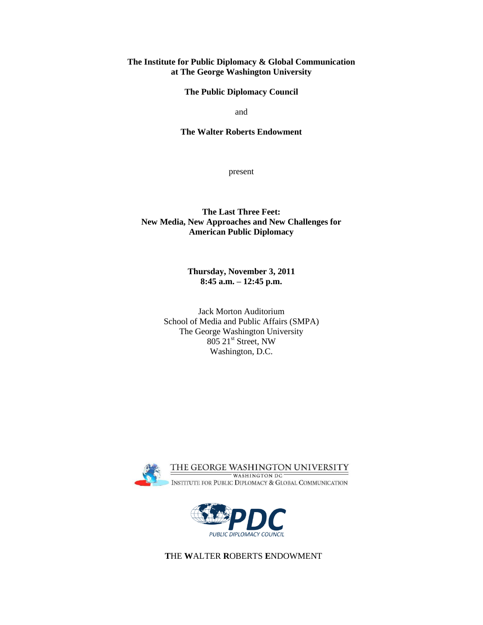## **The Institute for Public Diplomacy & Global Communication at The George Washington University**

**The Public Diplomacy Council**

and

## **The Walter Roberts Endowment**

present

## **The Last Three Feet: New Media, New Approaches and New Challenges for American Public Diplomacy**

**Thursday, November 3, 2011 8:45 a.m. – 12:45 p.m.**

Jack Morton Auditorium School of Media and Public Affairs (SMPA) The George Washington University 805 21st Street, NW Washington, D.C.





 **T**HE **W**ALTER **R**OBERTS **E**NDOWMENT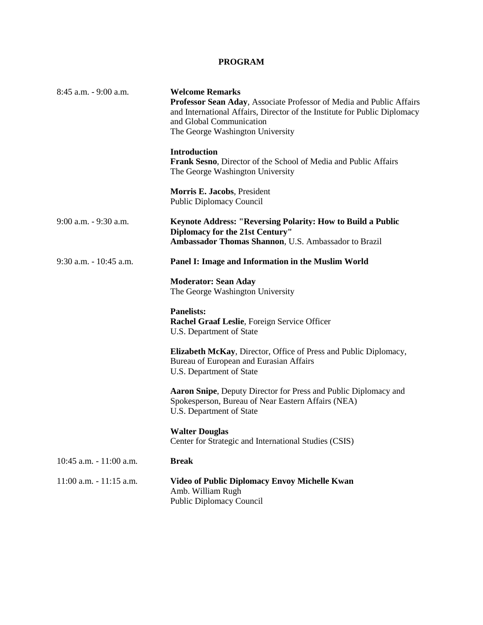## **PROGRAM**

| 8:45 a.m. - 9:00 a.m.      | <b>Welcome Remarks</b><br>Professor Sean Aday, Associate Professor of Media and Public Affairs<br>and International Affairs, Director of the Institute for Public Diplomacy<br>and Global Communication<br>The George Washington University |
|----------------------------|---------------------------------------------------------------------------------------------------------------------------------------------------------------------------------------------------------------------------------------------|
|                            | <b>Introduction</b><br>Frank Sesno, Director of the School of Media and Public Affairs<br>The George Washington University                                                                                                                  |
|                            | Morris E. Jacobs, President<br><b>Public Diplomacy Council</b>                                                                                                                                                                              |
| 9:00 a.m. - 9:30 a.m.      | Keynote Address: "Reversing Polarity: How to Build a Public<br>Diplomacy for the 21st Century"<br>Ambassador Thomas Shannon, U.S. Ambassador to Brazil                                                                                      |
| 9:30 a.m. - 10:45 a.m.     | Panel I: Image and Information in the Muslim World                                                                                                                                                                                          |
|                            | <b>Moderator: Sean Aday</b><br>The George Washington University                                                                                                                                                                             |
|                            | <b>Panelists:</b><br>Rachel Graaf Leslie, Foreign Service Officer<br>U.S. Department of State                                                                                                                                               |
|                            | Elizabeth McKay, Director, Office of Press and Public Diplomacy,<br>Bureau of European and Eurasian Affairs<br>U.S. Department of State                                                                                                     |
|                            | Aaron Snipe, Deputy Director for Press and Public Diplomacy and<br>Spokesperson, Bureau of Near Eastern Affairs (NEA)<br>U.S. Department of State                                                                                           |
|                            | <b>Walter Douglas</b><br>Center for Strategic and International Studies (CSIS)                                                                                                                                                              |
| 10:45 a.m. - 11:00 a.m.    | <b>Break</b>                                                                                                                                                                                                                                |
| $11:00$ a.m. $-11:15$ a.m. | <b>Video of Public Diplomacy Envoy Michelle Kwan</b><br>Amb. William Rugh<br><b>Public Diplomacy Council</b>                                                                                                                                |